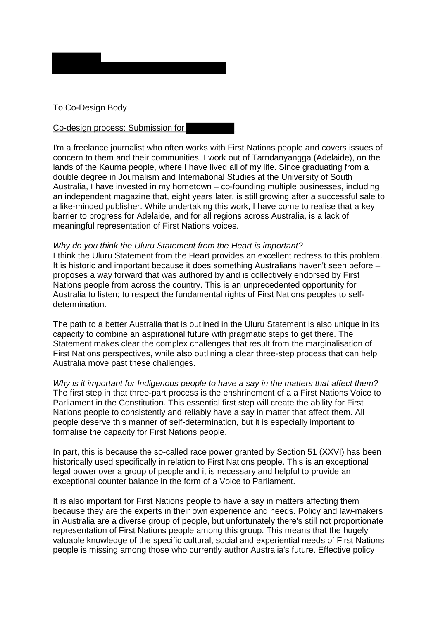

## To Co-Design Body

## Co-design process: Submission for

I'm a freelance journalist who often works with First Nations people and covers issues of concern to them and their communities. I work out of Tarndanyangga (Adelaide), on the lands of the Kaurna people, where I have lived all of my life. Since graduating from a double degree in Journalism and International Studies at the University of South Australia, I have invested in my hometown – co-founding multiple businesses, including an independent magazine that, eight years later, is still growing after a successful sale to a like-minded publisher. While undertaking this work, I have come to realise that a key barrier to progress for Adelaide, and for all regions across Australia, is a lack of meaningful representation of First Nations voices.

## *Why do you think the Uluru Statement from the Heart is important?*

I think the Uluru Statement from the Heart provides an excellent redress to this problem. It is historic and important because it does something Australians haven't seen before – proposes a way forward that was authored by and is collectively endorsed by First Nations people from across the country. This is an unprecedented opportunity for Australia to listen; to respect the fundamental rights of First Nations peoples to selfdetermination.

The path to a better Australia that is outlined in the Uluru Statement is also unique in its capacity to combine an aspirational future with pragmatic steps to get there. The Statement makes clear the complex challenges that result from the marginalisation of First Nations perspectives, while also outlining a clear three-step process that can help Australia move past these challenges.

*Why is it important for Indigenous people to have a say in the matters that affect them?* The first step in that three-part process is the enshrinement of a a First Nations Voice to Parliament in the Constitution. This essential first step will create the ability for First Nations people to consistently and reliably have a say in matter that affect them. All people deserve this manner of self-determination, but it is especially important to formalise the capacity for First Nations people.

In part, this is because the so-called race power granted by Section 51 (XXVI) has been historically used specifically in relation to First Nations people. This is an exceptional legal power over a group of people and it is necessary and helpful to provide an exceptional counter balance in the form of a Voice to Parliament.

It is also important for First Nations people to have a say in matters affecting them because they are the experts in their own experience and needs. Policy and law-makers in Australia are a diverse group of people, but unfortunately there's still not proportionate representation of First Nations people among this group. This means that the hugely valuable knowledge of the specific cultural, social and experiential needs of First Nations people is missing among those who currently author Australia's future. Effective policy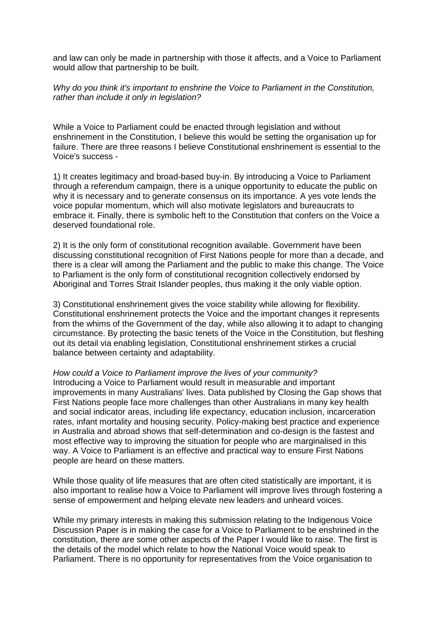and law can only be made in partnership with those it affects, and a Voice to Parliament would allow that partnership to be built.

*Why do you think it's important to enshrine the Voice to Parliament in the Constitution, rather than include it only in legislation?*

While a Voice to Parliament could be enacted through legislation and without enshrinement in the Constitution, I believe this would be setting the organisation up for failure. There are three reasons I believe Constitutional enshrinement is essential to the Voice's success -

1) It creates legitimacy and broad-based buy-in. By introducing a Voice to Parliament through a referendum campaign, there is a unique opportunity to educate the public on why it is necessary and to generate consensus on its importance. A yes vote lends the voice popular momentum, which will also motivate legislators and bureaucrats to embrace it. Finally, there is symbolic heft to the Constitution that confers on the Voice a deserved foundational role.

2) It is the only form of constitutional recognition available. Government have been discussing constitutional recognition of First Nations people for more than a decade, and there is a clear will among the Parliament and the public to make this change. The Voice to Parliament is the only form of constitutional recognition collectively endorsed by Aboriginal and Torres Strait Islander peoples, thus making it the only viable option.

3) Constitutional enshrinement gives the voice stability while allowing for flexibility. Constitutional enshrinement protects the Voice and the important changes it represents from the whims of the Government of the day, while also allowing it to adapt to changing circumstance. By protecting the basic tenets of the Voice in the Constitution, but fleshing out its detail via enabling legislation, Constitutional enshrinement stirkes a crucial balance between certainty and adaptability.

*How could a Voice to Parliament improve the lives of your community?* Introducing a Voice to Parliament would result in measurable and important improvements in many Australians' lives. Data published by Closing the Gap shows that First Nations people face more challenges than other Australians in many key health and social indicator areas, including life expectancy, education inclusion, incarceration rates, infant mortality and housing security. Policy-making best practice and experience in Australia and abroad shows that self-determination and co-design is the fastest and most effective way to improving the situation for people who are marginalised in this way. A Voice to Parliament is an effective and practical way to ensure First Nations people are heard on these matters.

While those quality of life measures that are often cited statistically are important, it is also important to realise how a Voice to Parliament will improve lives through fostering a sense of empowerment and helping elevate new leaders and unheard voices.

While my primary interests in making this submission relating to the Indigenous Voice Discussion Paper is in making the case for a Voice to Parliament to be enshrined in the constitution, there are some other aspects of the Paper I would like to raise. The first is the details of the model which relate to how the National Voice would speak to Parliament. There is no opportunity for representatives from the Voice organisation to